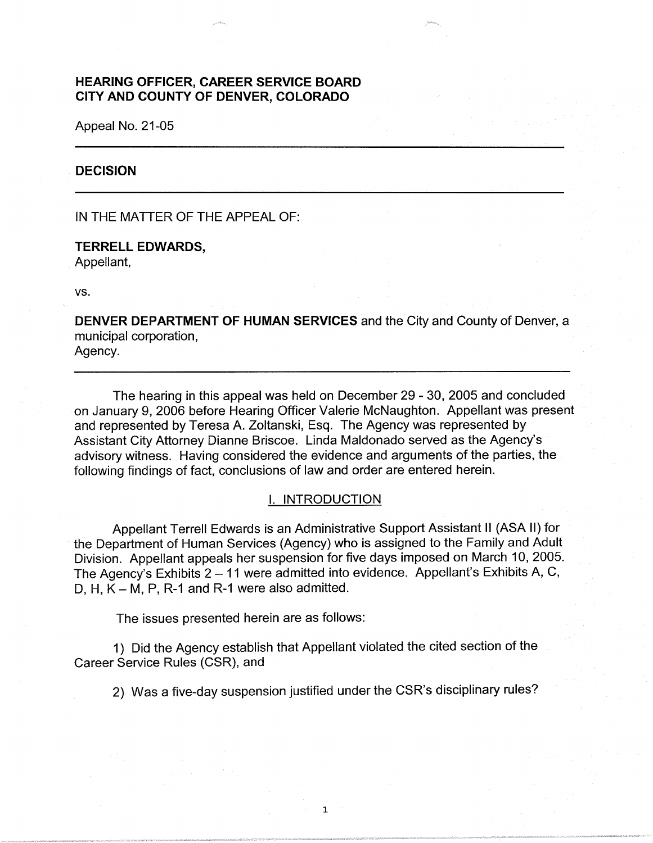# **HEARING OFFICER, CAREER SERVICE BOARD CITY AND COUNTY OF DENVER, COLORADO**

Appeal No. 21-05

# **DECISION**

IN THE MATTER OF THE APPEAL OF:

**TERRELL EDWARDS,**  Appellant,

vs.

**DENVER DEPARTMENT OF HUMAN SERVICES** and the City and County of Denver, a municipal corporation, Agency.

The hearing in this appeal was held on December 29 - 30, 2005 and concluded on January 9, 2006 before Hearing Officer Valerie McNaughton. Appellant was present and represented by Teresa A. Zoltanski, Esq. The Agency was represented by Assistant City Attorney Dianne Briscoe. Linda Maldonado served as the Agency's · advisory witness. Having considered the evidence and arguments of the parties, the following findings of fact, conclusions of law and order are entered herein.

## I. INTRODUCTION

Appellant Terrell Edwards is an Administrative Support Assistant II (ASA II) for the Department of Human Services (Agency) who is assigned to the Family and Adult Division. Appellant appeals her suspension for five days imposed on March 10, 2005. The Agency's Exhibits 2 - 11 were admitted into evidence. Appellant's Exhibits A, C, D, H,  $K - M$ , P, R-1 and R-1 were also admitted.

The issues presented herein are as follows:

1) Did the Agency establish that Appellant violated the cited section of the Career Service Rules (CSR), and

2) Was a five-day suspension justified under the CSR's disciplinary rules?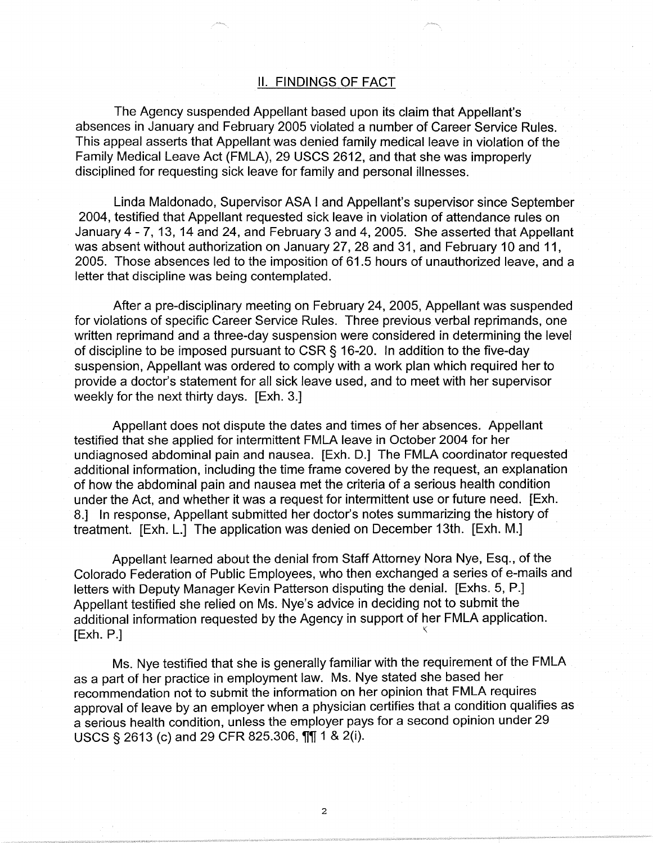### II. FINDINGS OF FACT

The Agency suspended Appellant based upon its claim that Appellant's absences in January and February 2005 violated a number of Career Service Rules. This appeal asserts that Appellant was denied family medical leave in violation of the Family Medical Leave Act (FMLA), 29 USCS 2612, and that she was improperly disciplined for requesting sick leave for family and personal illnesses.

Linda Maldonado, Supervisor ASA I and Appellant's supervisor since September 2004, testified that Appellant requested sick leave in violation of attendance rules on January 4 - 7, 13, 14 and 24, and February 3 and 4, 2005. She asserted that Appellant was absent without authorization on January 27, 28 and 31, and February 10 and 11, 2005. Those absences led to the imposition of 61.5 hours of unauthorized leave, and a letter that discipline was being contemplated.

After a pre-disciplinary meeting on February 24, 2005, Appellant was suspended for violations of specific Career Service Rules. Three previous verbal reprimands, one written reprimand and a three-day suspension were considered in determining the level of discipline to be imposed pursuant to CSR § 16-20. In addition to the five-day suspension, Appellant was ordered to comply with a work plan which required her to provide a doctor's statement for all sick leave used, and to meet with her supervisor weekly for the next thirty days. [Exh. 3.]

Appellant does not dispute the dates and times of her absences. Appellant testified that she applied for intermittent FMLA leave in October 2004 for her undiagnosed abdominal pain and nausea. [Exh. D.] The FMLA coordinator requested additional information, including the time frame covered by the request, an explanation of how the abdominal pain and nausea met the criteria of a serious health condition under the Act, and whether it was a request for intermittent use or future need. [Exh. 8.] In response, Appellant submitted her doctor's notes summarizing the history of treatment. [Exh. L.] The application was denied on December 13th. [Exh. M.]

Appellant learned about the denial from Staff Attorney Nora Nye, Esq., of the Colorado Federation of Public Employees, who then exchanged a series of e-mails and letters with Deputy Manager Kevin Patterson disputing the denial. [Exhs. 5, P.] Appellant testified she relied on Ms. Nye's advice in deciding not to submit the additional information requested by the Agency in support of her FMLA application.  $[Exh. P.]$ 

Ms. Nye testified that she is generally familiar with the requirement of the FMLA as a part of her practice in employment law. Ms. Nye stated she based her recommendation not to submit the information on her opinion that FMLA requires approval of leave by an employer when a physician certifies that a condition qualifies as a serious health condition, unless the employer pays for a second opinion under 29  $USCS \$  2613 (c) and 29 CFR 825.306,  $\frac{1}{11}$  1 & 2(i).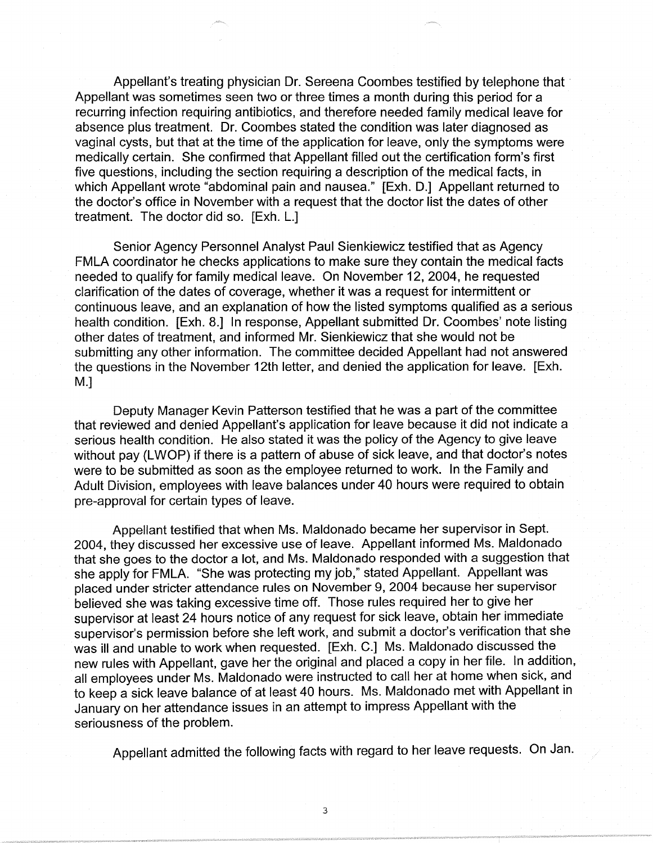Appellant's treating physician Dr. Sereena Coombes testified by telephone that · Appellant was sometimes seen two or three times a month during this period for a recurring infection requiring antibiotics, and therefore needed family medical leave for absence plus treatment. Dr. Coombes stated the condition was later diagnosed as vaginal cysts, but that at the time of the application for leave, only the symptoms were medically certain. She confirmed that Appellant filled out the certification form's first five questions, including the section requiring a description of the medical facts, in which Appellant wrote "abdominal pain and nausea." [Exh. D.] Appellant returned to the doctor's office in November with a request that the doctor list the dates of other treatment. The doctor did so. [Exh. L.]

Senior Agency Personnel Analyst Paul Sienkiewicz testified that as Agency FMLA coordinator he checks applications to make sure they contain the medical facts needed to qualify for family medical leave. On November 12, 2004, he requested clarification of the dates of coverage, whether it was a request for intermittent or continuous leave, and an explanation of how the listed symptoms qualified as a serious health condition. [Exh. 8.] In response, Appellant submitted Dr. Coombes' note listing other dates of treatment, and informed Mr. Sienkiewicz that she would not be submitting any other information. The committee decided Appellant had not answered the questions in the November 12th letter, and denied the application for leave. [Exh. M.]

Deputy Manager Kevin Patterson testified that he was a part of the committee that reviewed and denied Appellant's application for leave because it did not indicate a serious health condition. He also stated it was the policy of the Agency to give leave without pay (LWOP) if there is a pattern of abuse of sick leave, and that doctor's notes were to be submitted as soon as the employee returned to work. In the Family and Adult Division, employees with leave balances under 40 hours were required to obtain pre-approval for certain types of leave.

Appellant testified that when Ms. Maldonado became her supervisor in Sept. 2004, they discussed her excessive use of leave. Appellant informed Ms. Maldonado that she goes to the doctor a lot, and Ms. Maldonado responded with a suggestion that she apply for FMLA. "She was protecting my job," stated Appellant. Appellant was placed under stricter attendance rules on November 9, 2004 because her supervisor believed she was taking excessive time off. Those rules required her to give her supervisor at least 24 hours notice of any request for sick leave, obtain her immediate supervisor's permission before she left work, and submit a doctor's verification that she was ill and unable to work when requested. [Exh. C.] Ms. Maldonado discussed the new rules with Appellant, gave her the original and placed a copy in her file. In addition, all employees under Ms. Maldonado were instructed to call her at home when sick, and to keep a sick leave balance of at least 40 hours. Ms. Maldonado met with Appellant in January on her attendance issues in an attempt to impress Appellant with the seriousness of the problem.

Appellant admitted the following facts with regard to her leave requests. On Jan.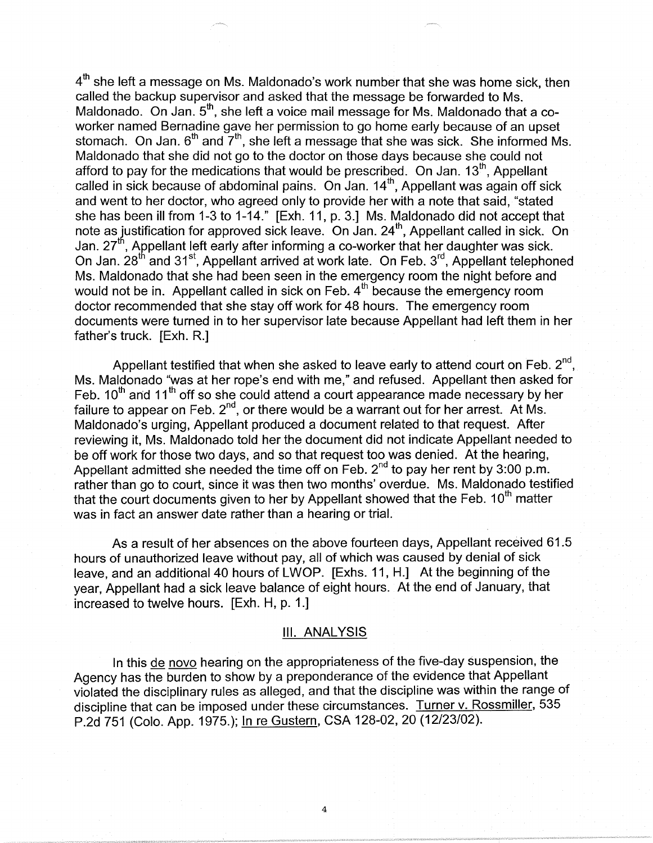4<sup>th</sup> she left a message on Ms. Maldonado's work number that she was home sick, then called the backup supervisor and asked that the message be forwarded to Ms. Maldonado. On Jan.  $5<sup>th</sup>$ , she left a voice mail message for Ms. Maldonado that a coworker named Bernadine gave her permission to go home early because of an upset stomach. On Jan.  $6<sup>th</sup>$  and  $7<sup>th</sup>$ , she left a message that she was sick. She informed Ms. Maldonado that she did not go to the doctor on those days because she could not afford to pay for the medications that would be prescribed. On Jan.  $13<sup>th</sup>$ . Appellant called in sick because of abdominal pains. On Jan. 14<sup>th</sup>, Appellant was again off sick and went to her doctor, who agreed only to provide her with a note that said, "stated she has been ill from 1-3 to 1-14." [Exh. 11, p. 3.] Ms. Maldonado did not accept that note as justification for approved sick leave. On Jan.  $24<sup>th</sup>$ , Appellant called in sick. On Jan. 27<sup>th</sup>, Appellant left early after informing a co-worker that her daughter was sick. On Jan. 28<sup>th</sup> and 31<sup>st</sup>, Appellant arrived at work late. On Feb. 3<sup>rd</sup>, Appellant telephoned Ms. Maldonado that she had been seen in the emergency room the night before and would not be in. Appellant called in sick on Feb. 4<sup>th</sup> because the emergency room doctor recommended that she stay off work for 48 hours. The emergency room documents were turned in to her supervisor late because Appellant had left them in her father's truck. [Exh. R.]

Appellant testified that when she asked to leave early to attend court on Feb.  $2<sup>nd</sup>$ . Ms. Maldonado "was at her rope's end with me," and refused. Appellant then asked for Feb.  $10^{th}$  and  $11^{th}$  off so she could attend a court appearance made necessary by her failure to appear on Feb. 2<sup>nd</sup>, or there would be a warrant out for her arrest. At Ms. Maldonado's urging, Appellant produced a document related to that request. After reviewing it, Ms. Maldonado told her the document did not indicate Appellant needed to be off work for those two days, and so that request too was denied. At the hearing, Appellant admitted she needed the time off on Feb. 2<sup>nd</sup> to pay her rent by 3:00 p.m. rather than go to court, since it was then two months' overdue. Ms. Maldonado testified that the court documents given to her by Appellant showed that the Feb.  $10^{th}$  matter was in fact an answer date rather than a hearing or trial.

As a result of her absences on the above fourteen days, Appellant received 61.5 hours of unauthorized leave without pay, all of which was caused by denial of sick leave, and an additional 40 hours of LWOP. [Exhs. 11, H.] At the beginning of the year, Appellant had a sick leave balance of eight hours. At the end of January, that increased to twelve hours. [Exh. H, p. 1.]

## Ill. ANALYSIS

In this de novo hearing on the appropriateness of the five-day suspension, the Agency has the burden to show by a preponderance of the evidence that Appellant violated the disciplinary rules as alleged, and that the discipline was within the range of discipline that can be imposed under these circumstances. Turner v. Rossmiller, 535 P.2d 751 (Colo. App. 1975.); In re Gustern, CSA 128-02, 20 (12/23/02).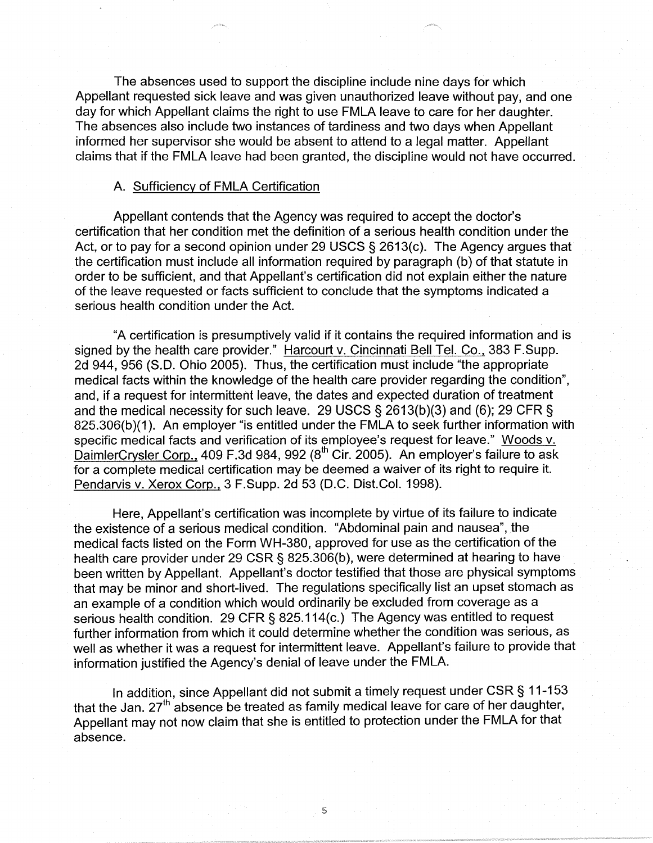The absences used to support the discipline include nine days for which Appellant requested sick leave and was given unauthorized leave without pay, and one day for which Appellant claims the right to use FMLA leave to care for her daughter. The absences also include two instances of tardiness and two days when Appellant informed her supervisor she would be absent to attend to a legal matter. Appellant claims that if the FMLA leave had been granted, the discipline would not have occurred.

#### A. Sufficiency of FMLA Certification

Appellant contends that the Agency was required to accept the doctor's certification that her condition met the definition of a serious health condition under the Act, or to pay for a second opinion under 29 USCS  $\S$  2613(c). The Agency argues that the certification must include all information required by paragraph (b) of that statute in order to be sufficient, and that Appellant's certification did not explain either the nature of the leave requested or facts sufficient to conclude that the symptoms indicated a serious health condition under the Act.

"A certification is presumptively valid if it contains the required information and is signed by the health care provider." Harcourt v. Cincinnati Bell Tel. Co., 383 F.Supp. 2d 944, 956 (S.D. Ohio 2005). Thus, the certification must include "the appropriate medical facts within the knowledge of the health care provider regarding the condition", and, if a request for intermittent leave, the dates and expected duration of treatment and the medical necessity for such leave. 29 USCS § 2613(b)(3) and (6); 29 CFR § 825.306(b)(1). An employer "is entitled under the FMLA to seek further information with specific medical facts and verification of its employee's request for leave." Woods v. DaimlerCrysler Corp., 409 F.3d 984, 992  $(8<sup>th</sup>$  Cir. 2005). An employer's failure to ask for a complete medical certification may be deemed a waiver of its right to require it. Pendarvis v. Xerox Corp., 3 F.Supp. 2d 53 (D.C. Dist.Col. 1998).

Here, Appellant's certification was incomplete by virtue of its failure to indicate the existence of a serious medical condition. "Abdominal pain and nausea", the medical facts listed on the Form WH-380, approved for use as the certification of the health care provider under 29 CSR§ 825.306(b), were determined at hearing to have been written by Appellant. Appellant's doctor testified that those are physical symptoms that may be minor and short-lived. The regulations specifically list an upset stomach as an example of a condition which would ordinarily be excluded from coverage as a serious health condition. 29 CFR § 825.114(c.) The Agency was entitled to request further information from which it could determine whether the condition was serious, as well as whether it was a request for intermittent leave. Appellant's failure to provide that information justified the Agency's denial of leave under the FMLA.

In addition, since Appellant did not submit a timely request under CSR§ 11-153 that the Jan.  $27<sup>th</sup>$  absence be treated as family medical leave for care of her daughter, Appellant may not now claim that she is entitled to protection under the FMLA for that absence.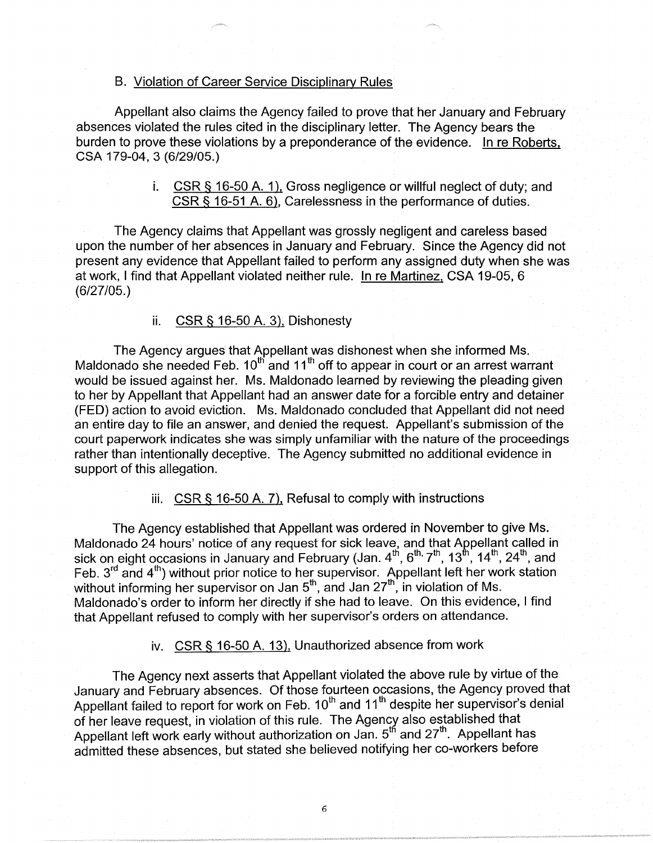## B. Violation of Career Service Disciplinary Rules

Appellant also claims the Agency failed to prove that her January and February absences violated the rules cited in the disciplinary letter. The Agency bears the burden to prove these violations by a preponderance of the evidence. In re Roberts, CSA 179-04, 3 (6/29/05.)

> i. CSR § 16-50 A. 1), Gross negligence or willful neglect of duty; and CSR§ 16-51 A. 6), Carelessness in the performance of duties.

The Agency claims that Appellant was grossly negligent and careless based upon the number of her absences in January and February. Since the Agency did not present any evidence that Appellant failed to perform any assigned duty when she was at work, I find that Appellant violated neither rule. In re Martinez, CSA 19-05, 6 (6/27/05.)

# ii. CSR § 16-50 A. 3), Dishonesty

The Agency argues that Appellant was dishonest when she informed Ms. Maldonado she needed Feb.  $10^{th}$  and  $11^{th}$  off to appear in court or an arrest warrant would be issued against her. Ms. Maldonado learned by reviewing the pleading given to her by Appellant that Appellant had an answer date for a forcible entry and detainer (FED) action to avoid eviction. Ms. Maldonado concluded that Appellant did not need an entire day to file an answer, and denied the request. Appellant's submission of the court paperwork indicates she was simply unfamiliar with the nature of the proceedings rather than intentionally deceptive. The Agency submitted no additional evidence in support of this allegation.

iii. CSR § 16-50 A. 7), Refusal to comply with instructions

The Agency established that Appellant was ordered in November to give Ms. Maldonado 24 hours' notice of any request for sick leave, and that Appellant called in sick on eight occasions in January and February (Jan.  $4<sup>th</sup>$ ,  $6<sup>th</sup>$ ,  $7<sup>th</sup>$ ,  $13<sup>th</sup>$ ,  $14<sup>th</sup>$ ,  $24<sup>th</sup>$ , and Feb. 3<sup>rd</sup> and 4<sup>th</sup>) without prior notice to her supervisor. Appellant left her work station without informing her supervisor on Jan  $5^{\text{th}}$ , and Jan 27 $^{\text{th}}$ , in violation of Ms. Maldonado's order to inform her directly if she had to leave. On this evidence, I find that Appellant refused to comply with her supervisor's orders on attendance.

iv. CSR § 16-50 A. 13), Unauthorized absence from work

The Agency next asserts that Appellant violated the above rule by virtue of the January and February absences. Of those fourteen occasions, the Agency proved that Appellant failed to report for work on Feb. 10<sup>th</sup> and 11<sup>th</sup> despite her supervisor's denial of her leave request, in violation of this rule. The Agency also established that Appellant left work early without authorization on Jan.  $5<sup>th</sup>$  and  $27<sup>th</sup>$ . Appellant has admitted these absences, but stated she believed notifying her co-workers before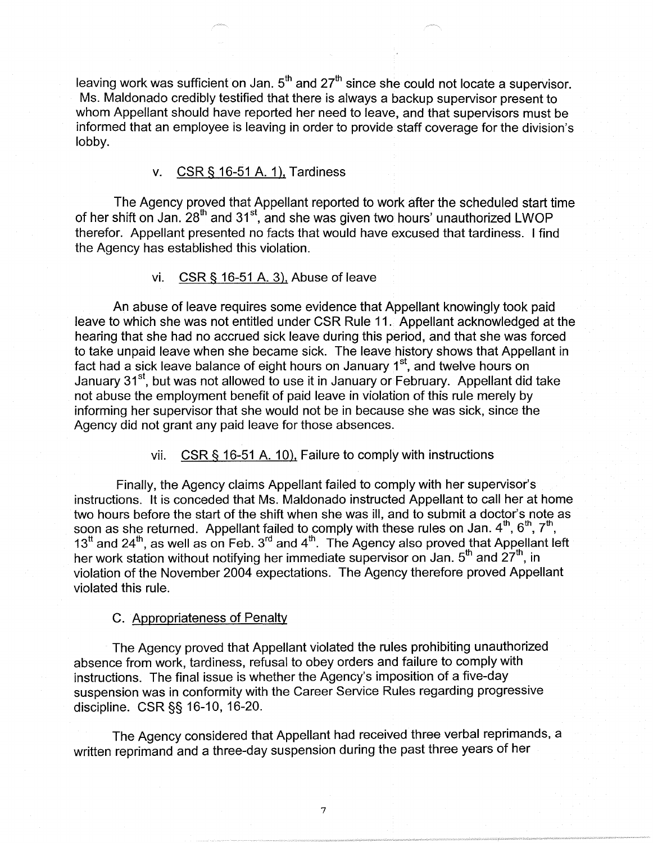leaving work was sufficient on Jan.  $5<sup>th</sup>$  and  $27<sup>th</sup>$  since she could not locate a supervisor. Ms. Maldonado credibly testified that there is always a backup supervisor present to whom Appellant should have reported her need to leave, and that supervisors must be informed that an employee is leaving in order to provide staff coverage for the division's lobby.

## v. CSR § 16-51 A. 1), Tardiness

The Agency proved that Appellant reported to work after the scheduled start time of her shift on Jan. 28<sup>th</sup> and 31<sup>st</sup>, and she was given two hours' unauthorized LWOP therefor. Appellant presented no facts that would have excused that tardiness. I find the Agency has established this violation.

## vi. CSR§ 16-51 A. 3), Abuse of leave

An abuse of leave requires some evidence that Appellant knowingly took paid leave to which she was not entitled under CSR Rule 11. Appellant acknowledged at the hearing that she had no accrued sick leave during this period, and that she was forced to take unpaid leave when she became sick. The leave history shows that Appellant in fact had a sick leave balance of eight hours on January 1<sup>st</sup>, and twelve hours on January 31<sup>st</sup>, but was not allowed to use it in January or February. Appellant did take not abuse the employment benefit of paid leave in violation of this rule merely by informing her supervisor that she would not be in because she was sick, since the Agency did not grant any paid leave for those absences.

#### vii. CSR§ 16-51 A. 10), Failure to comply with instructions

Finally, the Agency claims Appellant failed to comply with her supervisor's instructions. It is conceded that Ms. Maldonado instructed Appellant to call her at home two hours before the start of the shift when she was ill, and to submit a doctor's note as soon as she returned. Appellant failed to comply with these rules on Jan. 4<sup>th</sup>, 6<sup>th</sup>, 7<sup>th</sup>, 13<sup>tt</sup> and 24<sup>th</sup>, as well as on Feb. 3<sup>rd</sup> and 4<sup>th</sup>. The Agency also proved that Appellant left her work station without notifying her immediate supervisor on Jan.  $5<sup>th</sup>$  and  $27<sup>th</sup>$ , in violation of the November 2004 expectations. The Agency therefore proved Appellant violated this rule.

#### C. Appropriateness of Penalty

The Agency proved that Appellant violated the rules prohibiting unauthorized absence from work, tardiness, refusal to obey orders and failure to comply with instructions. The final issue is whether the Agency's imposition of a five-day suspension was in conformity with the Career Service Rules regarding progressive discipline. CSR§§ 16-10, 16-20.

The Agency considered that Appellant had received three verbal reprimands, a written reprimand and a three-day suspension during the past three years of her